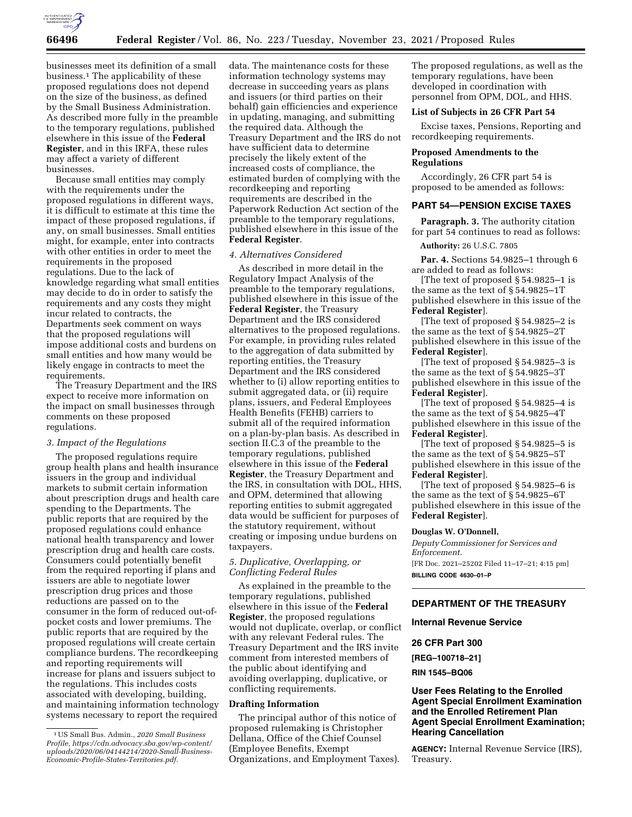

businesses meet its definition of a small business.1 The applicability of these proposed regulations does not depend on the size of the business, as defined by the Small Business Administration. As described more fully in the preamble to the temporary regulations, published elsewhere in this issue of the **Federal Register**, and in this IRFA, these rules may affect a variety of different businesses.

Because small entities may comply with the requirements under the proposed regulations in different ways, it is difficult to estimate at this time the impact of these proposed regulations, if any, on small businesses. Small entities might, for example, enter into contracts with other entities in order to meet the requirements in the proposed regulations. Due to the lack of knowledge regarding what small entities may decide to do in order to satisfy the requirements and any costs they might incur related to contracts, the Departments seek comment on ways that the proposed regulations will impose additional costs and burdens on small entities and how many would be likely engage in contracts to meet the requirements.

The Treasury Department and the IRS expect to receive more information on the impact on small businesses through comments on these proposed regulations.

# *3. Impact of the Regulations*

The proposed regulations require group health plans and health insurance issuers in the group and individual markets to submit certain information about prescription drugs and health care spending to the Departments. The public reports that are required by the proposed regulations could enhance national health transparency and lower prescription drug and health care costs. Consumers could potentially benefit from the required reporting if plans and issuers are able to negotiate lower prescription drug prices and those reductions are passed on to the consumer in the form of reduced out-ofpocket costs and lower premiums. The public reports that are required by the proposed regulations will create certain compliance burdens. The recordkeeping and reporting requirements will increase for plans and issuers subject to the regulations. This includes costs associated with developing, building, and maintaining information technology systems necessary to report the required

data. The maintenance costs for these information technology systems may decrease in succeeding years as plans and issuers (or third parties on their behalf) gain efficiencies and experience in updating, managing, and submitting the required data. Although the Treasury Department and the IRS do not have sufficient data to determine precisely the likely extent of the increased costs of compliance, the estimated burden of complying with the recordkeeping and reporting requirements are described in the Paperwork Reduction Act section of the preamble to the temporary regulations, published elsewhere in this issue of the **Federal Register**.

# *4. Alternatives Considered*

As described in more detail in the Regulatory Impact Analysis of the preamble to the temporary regulations, published elsewhere in this issue of the **Federal Register**, the Treasury Department and the IRS considered alternatives to the proposed regulations. For example, in providing rules related to the aggregation of data submitted by reporting entities, the Treasury Department and the IRS considered whether to (i) allow reporting entities to submit aggregated data, or (ii) require plans, issuers, and Federal Employees Health Benefits (FEHB) carriers to submit all of the required information on a plan-by-plan basis. As described in section II.C.3 of the preamble to the temporary regulations, published elsewhere in this issue of the **Federal Register**, the Treasury Department and the IRS, in consultation with DOL, HHS, and OPM, determined that allowing reporting entities to submit aggregated data would be sufficient for purposes of the statutory requirement, without creating or imposing undue burdens on taxpayers.

# *5. Duplicative, Overlapping, or Conflicting Federal Rules*

As explained in the preamble to the temporary regulations, published elsewhere in this issue of the **Federal Register**, the proposed regulations would not duplicate, overlap, or conflict with any relevant Federal rules. The Treasury Department and the IRS invite comment from interested members of the public about identifying and avoiding overlapping, duplicative, or conflicting requirements.

## **Drafting Information**

The principal author of this notice of proposed rulemaking is Christopher Dellana, Office of the Chief Counsel (Employee Benefits, Exempt Organizations, and Employment Taxes). The proposed regulations, as well as the temporary regulations, have been developed in coordination with personnel from OPM, DOL, and HHS.

# **List of Subjects in 26 CFR Part 54**

Excise taxes, Pensions, Reporting and recordkeeping requirements.

# **Proposed Amendments to the Regulations**

Accordingly, 26 CFR part 54 is proposed to be amended as follows:

## **PART 54—PENSION EXCISE TAXES**

**Paragraph. 3.** The authority citation for part 54 continues to read as follows:

**Authority:** 26 U.S.C. 7805

**Par. 4.** Sections 54.9825–1 through 6 are added to read as follows:

[The text of proposed § 54.9825–1 is the same as the text of § 54.9825–1T published elsewhere in this issue of the **Federal Register**].

[The text of proposed § 54.9825–2 is the same as the text of § 54.9825–2T published elsewhere in this issue of the **Federal Register**].

[The text of proposed § 54.9825–3 is the same as the text of § 54.9825–3T published elsewhere in this issue of the **Federal Register**].

[The text of proposed § 54.9825–4 is the same as the text of § 54.9825–4T published elsewhere in this issue of the **Federal Register**].

[The text of proposed § 54.9825–5 is the same as the text of § 54.9825–5T published elsewhere in this issue of the **Federal Register**].

[The text of proposed § 54.9825–6 is the same as the text of § 54.9825–6T published elsewhere in this issue of the **Federal Register**].

### **Douglas W. O'Donnell,**

*Deputy Commissioner for Services and Enforcement.*  [FR Doc. 2021–25202 Filed 11–17–21; 4:15 pm] **BILLING CODE 4630–01–P** 

# **DEPARTMENT OF THE TREASURY**

# **Internal Revenue Service**

# **26 CFR Part 300**

**[REG–100718–21]** 

**RIN 1545–BQ06** 

# **User Fees Relating to the Enrolled Agent Special Enrollment Examination and the Enrolled Retirement Plan Agent Special Enrollment Examination; Hearing Cancellation**

**AGENCY:** Internal Revenue Service (IRS), Treasury.

<sup>1</sup>US Small Bus. Admin., *2020 Small Business Profile, [https://cdn.advocacy.sba.gov/wp-content/](https://cdn.advocacy.sba.gov/wp-content/uploads/2020/06/04144214/2020-Small-Business-Economic-Profile-States-Territories.pdf) [uploads/2020/06/04144214/2020-Small-Business-](https://cdn.advocacy.sba.gov/wp-content/uploads/2020/06/04144214/2020-Small-Business-Economic-Profile-States-Territories.pdf)[Economic-Profile-States-Territories.pdf.](https://cdn.advocacy.sba.gov/wp-content/uploads/2020/06/04144214/2020-Small-Business-Economic-Profile-States-Territories.pdf)*